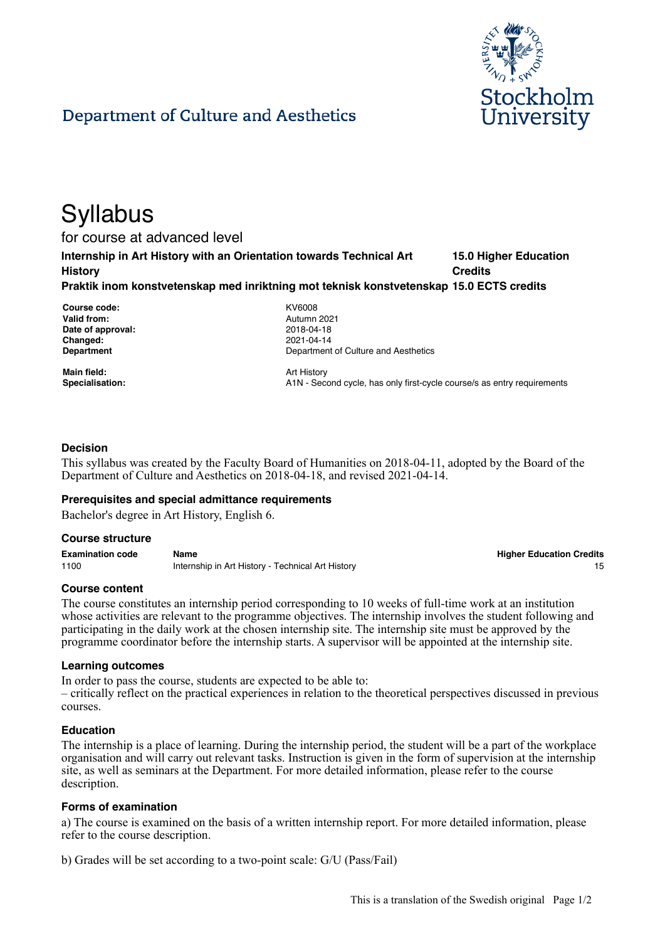

# Department of Culture and Aesthetics

# **Syllabus**

for course at advanced level

**Internship in Art History with an Orientation towards Technical Art History 15.0 Higher Education Credits**

**Praktik inom konstvetenskap med inriktning mot teknisk konstvetenskap 15.0 ECTS credits**

**Course code:** KV6008 **Valid from:** Autumn 2021 **Date of approval:** 2018-04-18 **Changed:** 2021-04-14

**Department Department Department** of Culture and Aesthetics

**Main field:** Art History

Specialisation: **A1N** - Second cycle, has only first-cycle course/s as entry requirements

# **Decision**

This syllabus was created by the Faculty Board of Humanities on 2018-04-11, adopted by the Board of the Department of Culture and Aesthetics on 2018-04-18, and revised 2021-04-14.

#### **Prerequisites and special admittance requirements**

Bachelor's degree in Art History, English 6.

#### **Course structure**

**Examination code Name Higher Education Credits** 1100 **Internship in Art History - Technical Art History** 15

**Course content**

The course constitutes an internship period corresponding to 10 weeks of full-time work at an institution whose activities are relevant to the programme objectives. The internship involves the student following and participating in the daily work at the chosen internship site. The internship site must be approved by the programme coordinator before the internship starts. A supervisor will be appointed at the internship site.

#### **Learning outcomes**

In order to pass the course, students are expected to be able to: – critically reflect on the practical experiences in relation to the theoretical perspectives discussed in previous courses.

#### **Education**

The internship is a place of learning. During the internship period, the student will be a part of the workplace organisation and will carry out relevant tasks. Instruction is given in the form of supervision at the internship site, as well as seminars at the Department. For more detailed information, please refer to the course description.

#### **Forms of examination**

a) The course is examined on the basis of a written internship report. For more detailed information, please refer to the course description.

b) Grades will be set according to a two-point scale: G/U (Pass/Fail)